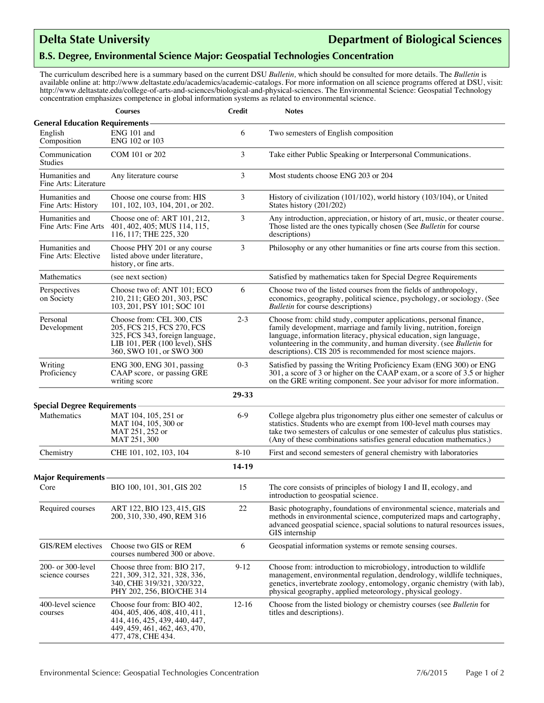## **Delta State University Department of Biological Sciences**

## **B.S. Degree, Environmental Science Major: Geospatial Technologies Concentration**

The curriculum described here is a summary based on the current DSU *Bulletin,* which should be consulted for more details. The *Bulletin* is available online at: http://www.deltastate.edu/academics/academic-catalogs. For more information on all science programs offered at DSU, visit: http://www.deltastate.edu/college-of-arts-and-sciences/biological-and-physical-sciences. The Environmental Science: Geospatial Technology concentration emphasizes competence in global information systems as related to environmental science.

|                                                   | <b>Courses</b>                                                                                                                                               | <b>Credit</b> | <b>Notes</b>                                                                                                                                                                                                                                                                                                                                              |
|---------------------------------------------------|--------------------------------------------------------------------------------------------------------------------------------------------------------------|---------------|-----------------------------------------------------------------------------------------------------------------------------------------------------------------------------------------------------------------------------------------------------------------------------------------------------------------------------------------------------------|
| <b>General Education Requirements</b>             |                                                                                                                                                              |               |                                                                                                                                                                                                                                                                                                                                                           |
| English<br>Composition                            | ENG 101 and<br>ENG 102 or 103                                                                                                                                | 6             | Two semesters of English composition                                                                                                                                                                                                                                                                                                                      |
| Communication<br><b>Studies</b>                   | COM 101 or 202                                                                                                                                               | 3             | Take either Public Speaking or Interpersonal Communications.                                                                                                                                                                                                                                                                                              |
| Humanities and<br>Fine Arts: Literature           | Any literature course                                                                                                                                        | 3             | Most students choose ENG 203 or 204                                                                                                                                                                                                                                                                                                                       |
| Humanities and<br>Fine Arts: History              | Choose one course from: HIS<br>101, 102, 103, 104, 201, or 202.                                                                                              | 3             | History of civilization (101/102), world history (103/104), or United<br>States history (201/202)                                                                                                                                                                                                                                                         |
| Humanities and<br>Fine Arts: Fine Arts            | Choose one of: ART 101, 212,<br>401, 402, 405; MUS 114, 115,<br>116, 117; THE 225, 320                                                                       | 3             | Any introduction, appreciation, or history of art, music, or theater course.<br>Those listed are the ones typically chosen (See Bulletin for course<br>descriptions)                                                                                                                                                                                      |
| Humanities and<br>Fine Arts: Elective             | Choose PHY 201 or any course<br>listed above under literature,<br>history, or fine arts.                                                                     | 3             | Philosophy or any other humanities or fine arts course from this section.                                                                                                                                                                                                                                                                                 |
| Mathematics                                       | (see next section)                                                                                                                                           |               | Satisfied by mathematics taken for Special Degree Requirements                                                                                                                                                                                                                                                                                            |
| Perspectives<br>on Society                        | Choose two of: ANT 101: ECO<br>210, 211; GEO 201, 303, PSC<br>103, 201, PSY 101; SOC 101                                                                     | 6             | Choose two of the listed courses from the fields of anthropology,<br>economics, geography, political science, psychology, or sociology. (See<br><b>Bulletin</b> for course descriptions)                                                                                                                                                                  |
| Personal<br>Development                           | Choose from: CEL 300, CIS<br>205, FCS 215, FCS 270, FCS<br>325, FCS 343, foreign language,<br>LIB $101$ , PER $(100$ level), SHS<br>360, SWO 101, or SWO 300 | $2 - 3$       | Choose from: child study, computer applications, personal finance,<br>family development, marriage and family living, nutrition, foreign<br>language, information literacy, physical education, sign language,<br>volunteering in the community, and human diversity. (see Bulletin for<br>descriptions). CIS 205 is recommended for most science majors. |
| Writing<br>Proficiency                            | ENG 300, ENG 301, passing<br>CAAP score, or passing GRE<br>writing score                                                                                     | $0 - 3$       | Satisfied by passing the Writing Proficiency Exam (ENG 300) or ENG<br>301, a score of 3 or higher on the CAAP exam, or a score of 3.5 or higher<br>on the GRE writing component. See your advisor for more information.                                                                                                                                   |
|                                                   |                                                                                                                                                              | 29-33         |                                                                                                                                                                                                                                                                                                                                                           |
| <b>Special Degree Requirements</b><br>Mathematics | MAT 104, 105, 251 or<br>MAT 104, 105, 300 or<br>MAT 251, 252 or                                                                                              | $6-9$         | College algebra plus trigonometry plus either one semester of calculus or<br>statistics. Students who are exempt from 100-level math courses may<br>take two semesters of calculus or one semester of calculus plus statistics.                                                                                                                           |
|                                                   | MAT 251, 300                                                                                                                                                 |               | (Any of these combinations satisfies general education mathematics.)                                                                                                                                                                                                                                                                                      |
| Chemistry                                         | CHE 101, 102, 103, 104                                                                                                                                       | $8 - 10$      | First and second semesters of general chemistry with laboratories                                                                                                                                                                                                                                                                                         |
| Major Requirements                                |                                                                                                                                                              | 14-19         |                                                                                                                                                                                                                                                                                                                                                           |
| Core                                              | BIO 100, 101, 301, GIS 202                                                                                                                                   | 15            | The core consists of principles of biology I and II, ecology, and<br>introduction to geospatial science.                                                                                                                                                                                                                                                  |
| Required courses                                  | ART 122, BIO 123, 415, GIS<br>200, 310, 330, 490, REM 316                                                                                                    | $22\,$        | Basic photography, foundations of environmental science, materials and<br>methods in environmental science, computerized maps and cartography,<br>advanced geospatial science, spacial solutions to natural resources issues,<br>GIS internship                                                                                                           |
| GIS/REM electives                                 | Choose two GIS or REM<br>courses numbered 300 or above.                                                                                                      | 6             | Geospatial information systems or remote sensing courses.                                                                                                                                                                                                                                                                                                 |
| 200- or 300-level<br>science courses              | Choose three from: BIO 217,<br>221, 309, 312, 321, 328, 336,<br>340, CHE 319/321, 320/322,<br>PHY 202, 256, BIO/CHE 314                                      | $9-12$        | Choose from: introduction to microbiology, introduction to wildlife<br>management, environmental regulation, dendrology, wildlife techniques,<br>genetics, invertebrate zoology, entomology, organic chemistry (with lab),<br>physical geography, applied meteorology, physical geology.                                                                  |
| 400-level science<br>courses                      | Choose four from: BIO 402,<br>404, 405, 406, 408, 410, 411,<br>414, 416, 425, 439, 440, 447,<br>449, 459, 461, 462, 463, 470,<br>477, 478, CHE 434.          | $12-16$       | Choose from the listed biology or chemistry courses (see Bulletin for<br>titles and descriptions).                                                                                                                                                                                                                                                        |